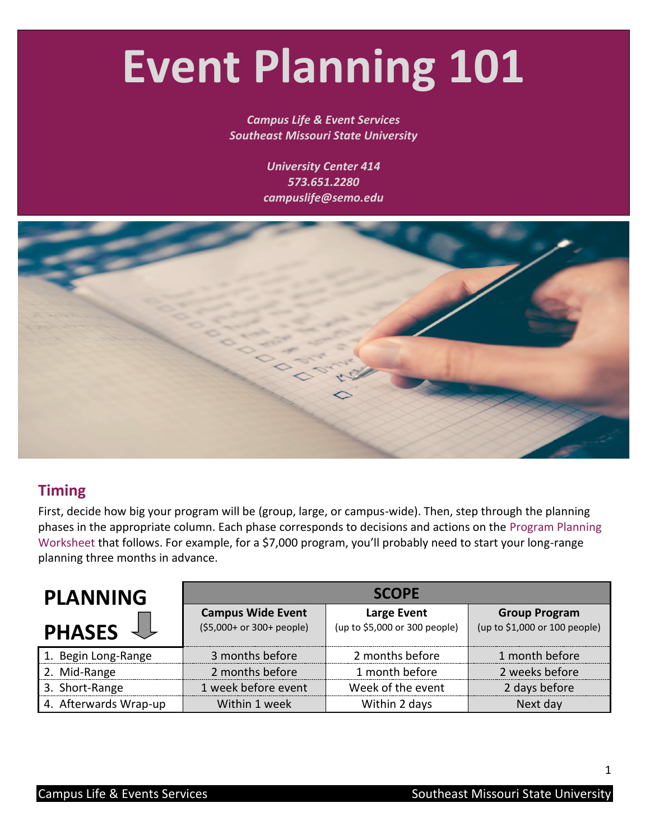# **Event Planning 101**

#### *Campus Life & Event Services Southeast Missouri State University*

*University Center 414 573.651.2280 campuslife@semo.edu*

<span id="page-0-0"></span>

### **Timing**

First, decide how big your program will be (group, large, or campus-wide). Then, step through the planning phases in the appropriate column. Each phase corresponds to decisions and actions on the [Program Planning](#page-2-0)  [Worksheet](#page-2-0) that follows. For example, for a \$7,000 program, you'll probably need to start your long-range planning three months in advance.

| <b>PLANNING</b>       |                                                       | <b>SCOPE</b>                                 |                                                       |
|-----------------------|-------------------------------------------------------|----------------------------------------------|-------------------------------------------------------|
| <b>PHASES</b>         | <b>Campus Wide Event</b><br>(\$5,000+ or 300+ people) | Large Event<br>(up to \$5,000 or 300 people) | <b>Group Program</b><br>(up to \$1,000 or 100 people) |
| 1. Begin Long-Range   | 3 months before                                       | 2 months before                              | 1 month before                                        |
| 2. Mid-Range          | 2 months before                                       | 1 month before                               | 2 weeks before                                        |
| 3. Short-Range        | 1 week before event                                   | Week of the event                            | 2 days before                                         |
| 4. Afterwards Wrap-up | Within 1 week                                         | Within 2 days                                | Next day                                              |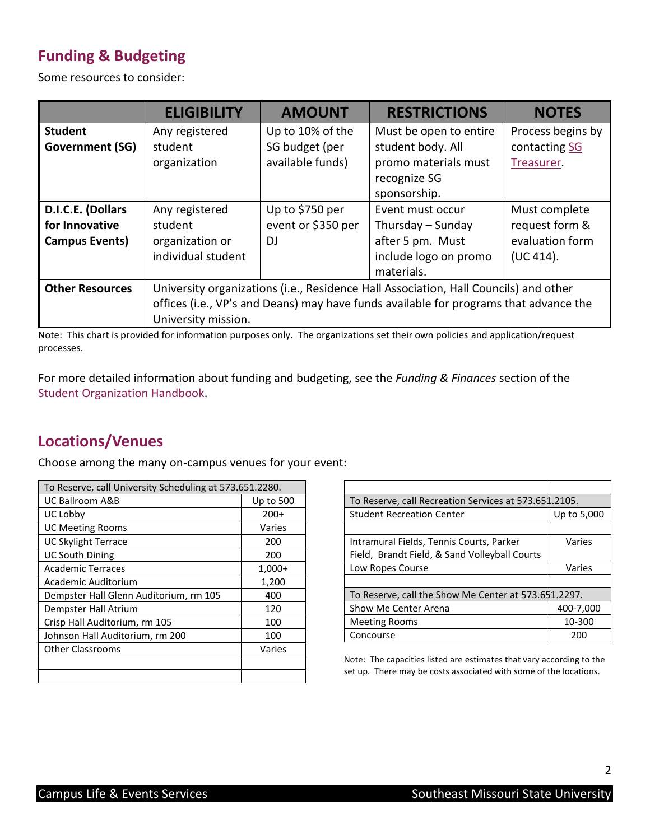## **Funding & Budgeting**

Some resources to consider:

|                        | <b>ELIGIBILITY</b>  | <b>AMOUNT</b>      | <b>RESTRICTIONS</b>                                                                   | <b>NOTES</b>      |
|------------------------|---------------------|--------------------|---------------------------------------------------------------------------------------|-------------------|
| <b>Student</b>         | Any registered      | Up to 10% of the   | Must be open to entire                                                                | Process begins by |
| <b>Government (SG)</b> | student             | SG budget (per     | student body. All                                                                     | contacting SG     |
|                        | organization        | available funds)   | promo materials must                                                                  | Treasurer.        |
|                        |                     |                    | recognize SG                                                                          |                   |
|                        |                     |                    | sponsorship.                                                                          |                   |
| D.I.C.E. (Dollars      | Any registered      | Up to \$750 per    | Event must occur                                                                      | Must complete     |
| for Innovative         | student             | event or \$350 per | Thursday – Sunday                                                                     | request form &    |
| <b>Campus Events)</b>  | organization or     | DJ                 | after 5 pm. Must                                                                      | evaluation form   |
|                        | individual student  |                    | include logo on promo                                                                 | (UC 414).         |
|                        |                     |                    | materials.                                                                            |                   |
| <b>Other Resources</b> |                     |                    | University organizations (i.e., Residence Hall Association, Hall Councils) and other  |                   |
|                        |                     |                    | offices (i.e., VP's and Deans) may have funds available for programs that advance the |                   |
|                        | University mission. |                    |                                                                                       |                   |

<span id="page-1-0"></span>Note: This chart is provided for information purposes only. The organizations set their own policies and application/request processes.

For more detailed information about funding and budgeting, see the *Funding & Finances* section of the [Student Organization Handbook.](http://www.semo.edu/campuslife/studentorgs/resources.html)

#### **Locations/Venues**

Choose among the many on-campus venues for your event:

| To Reserve, call University Scheduling at 573.651.2280. |           |
|---------------------------------------------------------|-----------|
| <b>UC Ballroom A&amp;B</b>                              | Up to 500 |
| UC Lobby                                                | $200+$    |
| <b>UC Meeting Rooms</b>                                 | Varies    |
| <b>UC Skylight Terrace</b>                              | 200       |
| <b>UC South Dining</b>                                  | 200       |
| <b>Academic Terraces</b>                                | $1,000+$  |
| Academic Auditorium                                     | 1,200     |
| Dempster Hall Glenn Auditorium, rm 105                  | 400       |
| Dempster Hall Atrium                                    | 120       |
| Crisp Hall Auditorium, rm 105                           | 100       |
| Johnson Hall Auditorium, rm 200                         | 100       |
| <b>Other Classrooms</b>                                 | Varies    |
|                                                         |           |
|                                                         |           |

| To Reserve, call Recreation Services at 573.651.2105. |             |
|-------------------------------------------------------|-------------|
| <b>Student Recreation Center</b>                      | Up to 5,000 |
|                                                       |             |
| Intramural Fields, Tennis Courts, Parker              | Varies      |
| Field, Brandt Field, & Sand Volleyball Courts         |             |
| Low Ropes Course                                      | Varies      |
|                                                       |             |
| To Reserve, call the Show Me Center at 573.651.2297.  |             |
| Show Me Center Arena                                  | 400-7,000   |
| <b>Meeting Rooms</b>                                  | 10-300      |
| Concourse                                             | 200         |

Note: The capacities listed are estimates that vary according to the set up. There may be costs associated with some of the locations.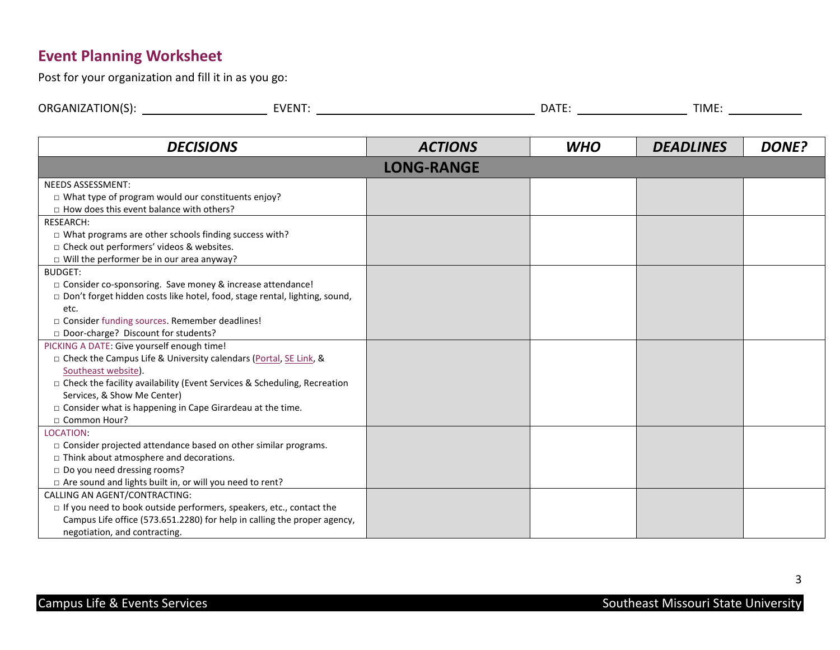## **Event Planning Worksheet**

Post for your organization and fill it in as you go:

| ORG.<br>TION(S).<br>∟ווי י | $FV$ $F^*$<br>. – N ' . | ----<br>"י | TIME. |
|----------------------------|-------------------------|------------|-------|
|                            |                         |            |       |

<span id="page-2-0"></span>

| <b>DECISIONS</b>                                                                  | <b>ACTIONS</b>    | <b>WHO</b> | <b>DEADLINES</b> | <b>DONE?</b> |
|-----------------------------------------------------------------------------------|-------------------|------------|------------------|--------------|
|                                                                                   | <b>LONG-RANGE</b> |            |                  |              |
| <b>NEEDS ASSESSMENT:</b>                                                          |                   |            |                  |              |
| □ What type of program would our constituents enjoy?                              |                   |            |                  |              |
| $\Box$ How does this event balance with others?                                   |                   |            |                  |              |
| RESEARCH:                                                                         |                   |            |                  |              |
| $\Box$ What programs are other schools finding success with?                      |                   |            |                  |              |
| □ Check out performers' videos & websites.                                        |                   |            |                  |              |
| $\Box$ Will the performer be in our area anyway?                                  |                   |            |                  |              |
| <b>BUDGET:</b>                                                                    |                   |            |                  |              |
| □ Consider co-sponsoring. Save money & increase attendance!                       |                   |            |                  |              |
| $\Box$ Don't forget hidden costs like hotel, food, stage rental, lighting, sound, |                   |            |                  |              |
| etc.                                                                              |                   |            |                  |              |
| □ Consider funding sources. Remember deadlines!                                   |                   |            |                  |              |
| Door-charge? Discount for students?                                               |                   |            |                  |              |
| PICKING A DATE: Give yourself enough time!                                        |                   |            |                  |              |
| □ Check the Campus Life & University calendars (Portal, SE Link, &                |                   |            |                  |              |
| Southeast website).                                                               |                   |            |                  |              |
| $\Box$ Check the facility availability (Event Services & Scheduling, Recreation   |                   |            |                  |              |
| Services, & Show Me Center)                                                       |                   |            |                  |              |
| $\square$ Consider what is happening in Cape Girardeau at the time.               |                   |            |                  |              |
| □ Common Hour?                                                                    |                   |            |                  |              |
| LOCATION:                                                                         |                   |            |                  |              |
| □ Consider projected attendance based on other similar programs.                  |                   |            |                  |              |
| $\Box$ Think about atmosphere and decorations.                                    |                   |            |                  |              |
| $\Box$ Do you need dressing rooms?                                                |                   |            |                  |              |
| □ Are sound and lights built in, or will you need to rent?                        |                   |            |                  |              |
| CALLING AN AGENT/CONTRACTING:                                                     |                   |            |                  |              |
| $\Box$ If you need to book outside performers, speakers, etc., contact the        |                   |            |                  |              |
| Campus Life office (573.651.2280) for help in calling the proper agency,          |                   |            |                  |              |
| negotiation, and contracting.                                                     |                   |            |                  |              |

3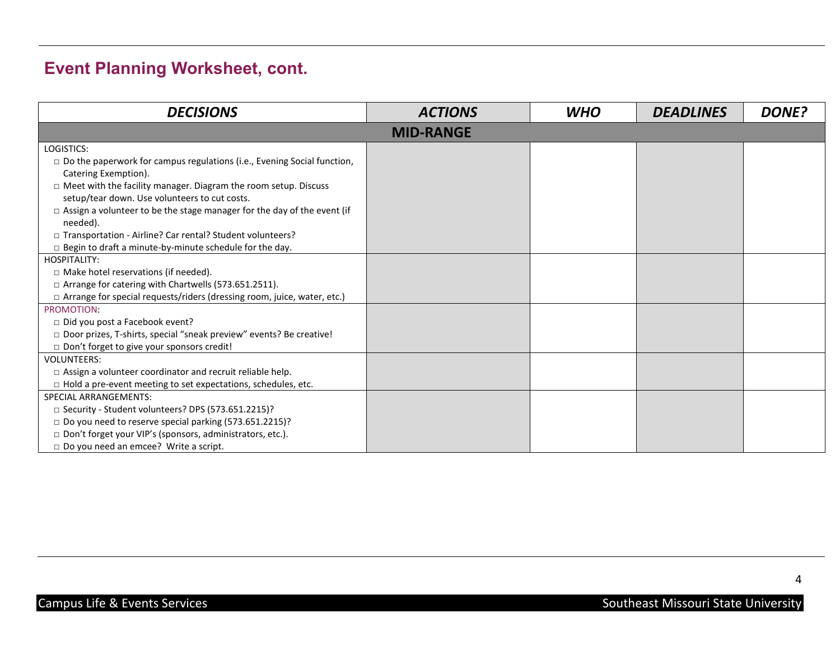# **Event Planning Worksheet, cont.**

| <b>DECISIONS</b>                                                                           | <b>ACTIONS</b>   | <b>WHO</b> | <b>DEADLINES</b> | <b>DONE?</b> |
|--------------------------------------------------------------------------------------------|------------------|------------|------------------|--------------|
|                                                                                            | <b>MID-RANGE</b> |            |                  |              |
| LOGISTICS:                                                                                 |                  |            |                  |              |
| $\Box$ Do the paperwork for campus regulations (i.e., Evening Social function,             |                  |            |                  |              |
| Catering Exemption).                                                                       |                  |            |                  |              |
| $\Box$ Meet with the facility manager. Diagram the room setup. Discuss                     |                  |            |                  |              |
| setup/tear down. Use volunteers to cut costs.                                              |                  |            |                  |              |
| $\Box$ Assign a volunteer to be the stage manager for the day of the event (if<br>needed). |                  |            |                  |              |
| □ Transportation - Airline? Car rental? Student volunteers?                                |                  |            |                  |              |
| $\Box$ Begin to draft a minute-by-minute schedule for the day.                             |                  |            |                  |              |
| <b>HOSPITALITY:</b>                                                                        |                  |            |                  |              |
| □ Make hotel reservations (if needed).                                                     |                  |            |                  |              |
| □ Arrange for catering with Chartwells (573.651.2511).                                     |                  |            |                  |              |
| □ Arrange for special requests/riders (dressing room, juice, water, etc.)                  |                  |            |                  |              |
| PROMOTION:                                                                                 |                  |            |                  |              |
| $\Box$ Did you post a Facebook event?                                                      |                  |            |                  |              |
| □ Door prizes, T-shirts, special "sneak preview" events? Be creative!                      |                  |            |                  |              |
| Don't forget to give your sponsors credit!                                                 |                  |            |                  |              |
| <b>VOLUNTEERS:</b>                                                                         |                  |            |                  |              |
| $\Box$ Assign a volunteer coordinator and recruit reliable help.                           |                  |            |                  |              |
| $\Box$ Hold a pre-event meeting to set expectations, schedules, etc.                       |                  |            |                  |              |
| <b>SPECIAL ARRANGEMENTS:</b>                                                               |                  |            |                  |              |
| □ Security - Student volunteers? DPS (573.651.2215)?                                       |                  |            |                  |              |
| □ Do you need to reserve special parking (573.651.2215)?                                   |                  |            |                  |              |
| Don't forget your VIP's (sponsors, administrators, etc.).                                  |                  |            |                  |              |
| $\Box$ Do you need an emcee? Write a script.                                               |                  |            |                  |              |

4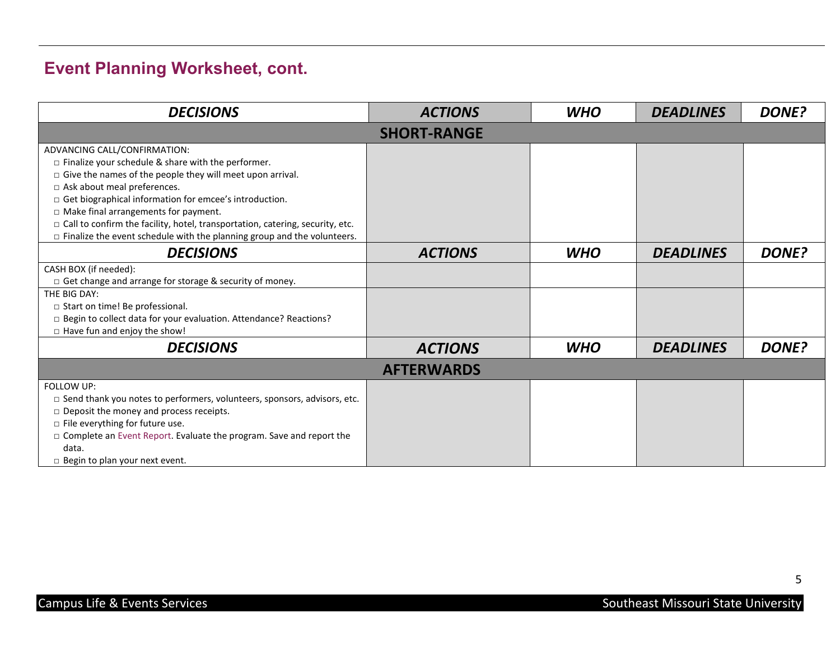# **Event Planning Worksheet, cont.**

| <b>DECISIONS</b>                                                                     | <b>ACTIONS</b>     | <b>WHO</b> | <b>DEADLINES</b> | <b>DONE?</b> |
|--------------------------------------------------------------------------------------|--------------------|------------|------------------|--------------|
|                                                                                      | <b>SHORT-RANGE</b> |            |                  |              |
| ADVANCING CALL/CONFIRMATION:                                                         |                    |            |                  |              |
| $\square$ Finalize your schedule & share with the performer.                         |                    |            |                  |              |
| $\Box$ Give the names of the people they will meet upon arrival.                     |                    |            |                  |              |
| □ Ask about meal preferences.                                                        |                    |            |                  |              |
| $\Box$ Get biographical information for emcee's introduction.                        |                    |            |                  |              |
| $\Box$ Make final arrangements for payment.                                          |                    |            |                  |              |
| $\Box$ Call to confirm the facility, hotel, transportation, catering, security, etc. |                    |            |                  |              |
| $\Box$ Finalize the event schedule with the planning group and the volunteers.       |                    |            |                  |              |
| <b>DECISIONS</b>                                                                     | <b>ACTIONS</b>     | <b>WHO</b> | <b>DEADLINES</b> | <b>DONE?</b> |
| CASH BOX (if needed):                                                                |                    |            |                  |              |
| □ Get change and arrange for storage & security of money.                            |                    |            |                  |              |
| THE BIG DAY:                                                                         |                    |            |                  |              |
| □ Start on time! Be professional.                                                    |                    |            |                  |              |
| □ Begin to collect data for your evaluation. Attendance? Reactions?                  |                    |            |                  |              |
| $\Box$ Have fun and enjoy the show!                                                  |                    |            |                  |              |
| <b>DECISIONS</b>                                                                     | <b>ACTIONS</b>     | <b>WHO</b> | <b>DEADLINES</b> | <b>DONE?</b> |
|                                                                                      | <b>AFTERWARDS</b>  |            |                  |              |
| FOLLOW UP:                                                                           |                    |            |                  |              |
| $\Box$ Send thank you notes to performers, volunteers, sponsors, advisors, etc.      |                    |            |                  |              |
| $\square$ Deposit the money and process receipts.                                    |                    |            |                  |              |
| $\Box$ File everything for future use.                                               |                    |            |                  |              |
| □ Complete an Event Report. Evaluate the program. Save and report the                |                    |            |                  |              |
| data.                                                                                |                    |            |                  |              |
| $\Box$ Begin to plan your next event.                                                |                    |            |                  |              |

5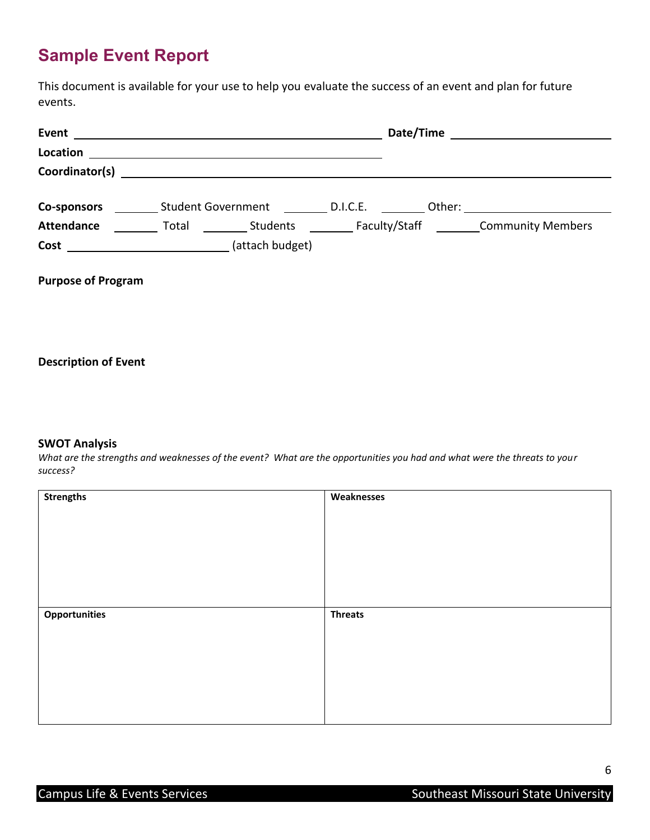# <span id="page-5-0"></span>**Sample Event Report**

This document is available for your use to help you evaluate the success of an event and plan for future events.

| <b>Co-sponsors</b>          |                      | Student Government B.I.C.E. |  |  |
|-----------------------------|----------------------|-----------------------------|--|--|
| <b>Attendance</b>           | <b>Example Total</b> |                             |  |  |
| <b>Cost</b> (attach budget) |                      |                             |  |  |
| <b>Purpose of Program</b>   |                      |                             |  |  |

#### **Description of Event**

#### **SWOT Analysis**

*What are the strengths and weaknesses of the event? What are the opportunities you had and what were the threats to your success?*

| <b>Strengths</b>     | Weaknesses     |
|----------------------|----------------|
|                      |                |
|                      |                |
|                      |                |
|                      |                |
|                      |                |
|                      |                |
|                      |                |
| <b>Opportunities</b> | <b>Threats</b> |
|                      |                |
|                      |                |
|                      |                |
|                      |                |
|                      |                |